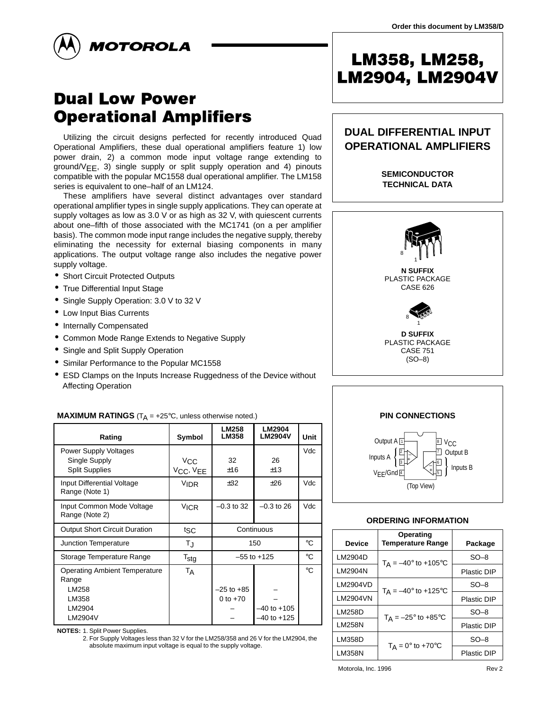



# **Dual Low Power Operational Amplifiers**

Utilizing the circuit designs perfected for recently introduced Quad Operational Amplifiers, these dual operational amplifiers feature 1) low power drain, 2) a common mode input voltage range extending to ground/VEE, 3) single supply or split supply operation and 4) pinouts compatible with the popular MC1558 dual operational amplifier. The LM158 series is equivalent to one–half of an LM124.

These amplifiers have several distinct advantages over standard operational amplifier types in single supply applications. They can operate at supply voltages as low as 3.0 V or as high as 32 V, with quiescent currents about one–fifth of those associated with the MC1741 (on a per amplifier basis). The common mode input range includes the negative supply, thereby eliminating the necessity for external biasing components in many applications. The output voltage range also includes the negative power supply voltage.

- Short Circuit Protected Outputs
- True Differential Input Stage
- Single Supply Operation: 3.0 V to 32 V
- Low Input Bias Currents
- Internally Compensated
- Common Mode Range Extends to Negative Supply
- Single and Split Supply Operation
- Similar Performance to the Popular MC1558
- ESD Clamps on the Inputs Increase Ruggedness of the Device without Affecting Operation

| <b>MAXIMOM INATHROD</b> (TA = 120 0, anicas officitive noted.) |                  |                              |                          |             |  |  |  |  |  |  |
|----------------------------------------------------------------|------------------|------------------------------|--------------------------|-------------|--|--|--|--|--|--|
| Rating                                                         | Symbol           | <b>LM258</b><br><b>LM358</b> | LM2904<br><b>LM2904V</b> | Unit        |  |  |  |  |  |  |
| <b>Power Supply Voltages</b>                                   |                  |                              |                          | Vdc         |  |  |  |  |  |  |
| Single Supply                                                  | $V_{\rm CC}$     | 32                           | 26                       |             |  |  |  |  |  |  |
| <b>Split Supplies</b>                                          | VCC, VEE         | ±16                          | ±13                      |             |  |  |  |  |  |  |
| Input Differential Voltage<br>Range (Note 1)                   | <b>VIDR</b>      | ±32                          | ±26                      | Vdc         |  |  |  |  |  |  |
| Input Common Mode Voltage<br>Range (Note 2)                    | <b>VICR</b>      | $-0.3$ to 32                 | $-0.3$ to 26             | Vdc         |  |  |  |  |  |  |
| Output Short Circuit Duration                                  | tsc              | Continuous                   |                          |             |  |  |  |  |  |  |
| Junction Temperature                                           | TJ               | 150                          | $^{\circ}C$              |             |  |  |  |  |  |  |
| Storage Temperature Range                                      | $T_{\text{stg}}$ | $-55$ to $+125$              | $^{\circ}C$              |             |  |  |  |  |  |  |
| <b>Operating Ambient Temperature</b><br>Range                  | TA               |                              |                          | $^{\circ}C$ |  |  |  |  |  |  |
| LM258                                                          |                  | $-25$ to $+85$               |                          |             |  |  |  |  |  |  |
| LM358                                                          |                  | 0 to $+70$                   |                          |             |  |  |  |  |  |  |
| LM2904                                                         |                  |                              | $-40$ to $+105$          |             |  |  |  |  |  |  |
| LM2904V                                                        |                  |                              | $-40$ to $+125$          |             |  |  |  |  |  |  |
|                                                                |                  |                              |                          |             |  |  |  |  |  |  |

#### **MAXIMUM RATINGS**  $(T_A - 25^\circ C$ , unless otherwise noted.)

**NOTES:** 1. Split Power Supplies.

2. For Supply Voltages less than 32 V for the LM258/358 and 26 V for the LM2904, the absolute maximum input voltage is equal to the supply voltage.

# LM358, LM258, LM2904, LM2904V

# **DUAL DIFFERENTIAL INPUT OPERATIONAL AMPLIFIERS**

**SEMICONDUCTOR TECHNICAL DATA**



PLASTIC PACKAGE CASE 751 (SO–8)



#### **ORDERING INFORMATION**

| <b>Device</b> | Operating<br><b>Temperature Range</b> | Package     |  |  |  |  |
|---------------|---------------------------------------|-------------|--|--|--|--|
| LM2904D       | $T_A = -40^{\circ}$ to +105°C         | $SO-8$      |  |  |  |  |
| LM2904N       |                                       | Plastic DIP |  |  |  |  |
| LM2904VD      | $T_A = -40^{\circ}$ to +125°C         | $SO-8$      |  |  |  |  |
| LM2904VN      |                                       | Plastic DIP |  |  |  |  |
| LM258D        | $T_A = -25^\circ$ to +85 $\circ$ C    | $SO-8$      |  |  |  |  |
| LM258N        |                                       | Plastic DIP |  |  |  |  |
| LM358D        |                                       | $SO-8$      |  |  |  |  |
| LM358N        | $T_A = 0^\circ$ to +70 $^\circ$ C     | Plastic DIP |  |  |  |  |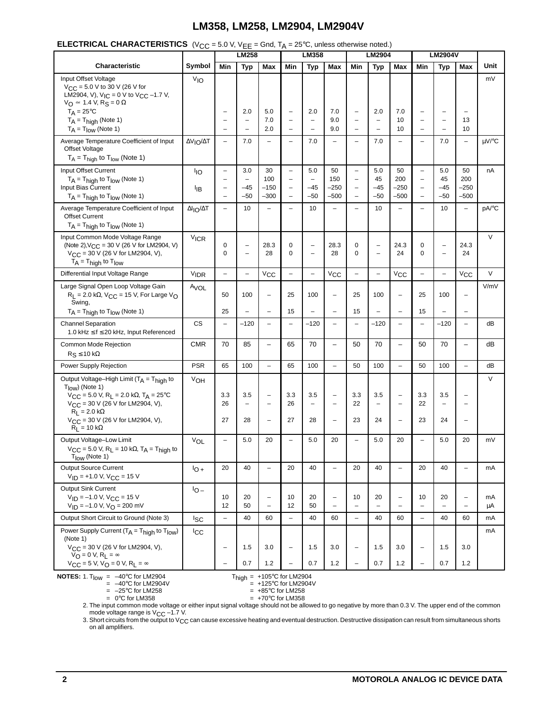|  | <b>ELECTRICAL CHARACTERISTICS</b> (V <sub>CC</sub> = 5.0 V, V <sub>EE</sub> = Gnd, T <sub>A</sub> = 25°C, unless otherwise noted.) |
|--|------------------------------------------------------------------------------------------------------------------------------------|
|--|------------------------------------------------------------------------------------------------------------------------------------|

| $\sim$ original contract to $\sim$                                                                                                                               |                          | - 0.0 v, v EE<br>- 0110, 1 A<br>$=$ 20 $\sigma$ , anices of iteration increases<br>LM358<br>LM258 |                                               |                                               |                                               | LM2904                        |                                                      | <b>LM2904V</b>                         |                                                      |                                                      |                                               |                               |                                               |          |
|------------------------------------------------------------------------------------------------------------------------------------------------------------------|--------------------------|---------------------------------------------------------------------------------------------------|-----------------------------------------------|-----------------------------------------------|-----------------------------------------------|-------------------------------|------------------------------------------------------|----------------------------------------|------------------------------------------------------|------------------------------------------------------|-----------------------------------------------|-------------------------------|-----------------------------------------------|----------|
| Characteristic                                                                                                                                                   | Symbol                   | Min                                                                                               | <b>Typ</b>                                    | Max                                           | Min                                           | <b>Typ</b>                    | Max                                                  | Min                                    | <b>Typ</b>                                           | Max                                                  | Min                                           | <b>Typ</b>                    | Max                                           | Unit     |
| Input Offset Voltage<br>$V_{CC}$ = 5.0 V to 30 V (26 V for<br>LM2904, V), $V_{IC} = 0$ V to $V_{CC}$ -1.7 V,<br>$V_O \approx 1.4$ V, R <sub>S</sub> = 0 $\Omega$ | V <sub>IO</sub>          |                                                                                                   |                                               |                                               |                                               |                               |                                                      |                                        |                                                      |                                                      |                                               |                               |                                               | mV       |
| $T_A = 25^{\circ}C$                                                                                                                                              |                          | $\qquad \qquad -$                                                                                 | 2.0                                           | 5.0<br>7.0                                    | $\qquad \qquad -$                             | 2.0                           | 7.0<br>9.0                                           | $\qquad \qquad -$                      | 2.0<br>$\overline{\phantom{0}}$                      | 7.0                                                  | -<br>$\overline{\phantom{0}}$                 | ۳                             | $\overline{\phantom{0}}$                      |          |
| $T_A = T_{\text{hidh}}$ (Note 1)<br>$T_A = T_{low}$ (Note 1)                                                                                                     |                          | $\overline{\phantom{0}}$<br>$\overline{\phantom{0}}$                                              | -<br>-                                        | 2.0                                           | ÷                                             | $\overline{\phantom{0}}$      | 9.0                                                  | -<br>-                                 |                                                      | 10<br>10                                             | $\overline{\phantom{0}}$                      | ÷<br>-                        | 13<br>10                                      |          |
| Average Temperature Coefficient of Input<br><b>Offset Voltage</b><br>$T_A = T_{high}$ to $T_{low}$ (Note 1)                                                      | ΔVιο/ΔΤ                  | $\overline{\phantom{0}}$                                                                          | 7.0                                           |                                               |                                               | 7.0                           | $\overline{\phantom{0}}$                             | $\overline{\phantom{0}}$               | 7.0                                                  | L,                                                   |                                               | 7.0                           | $\qquad \qquad -$                             | μV/°C    |
| Input Offset Current                                                                                                                                             | lιo                      | $\qquad \qquad -$                                                                                 | 3.0                                           | 30                                            | $\qquad \qquad -$                             | 5.0                           | 50                                                   | $\overline{\phantom{0}}$               | 5.0                                                  | 50                                                   | $\overline{\phantom{0}}$                      | 5.0                           | 50                                            | nA       |
| $T_A = T_{high}$ to $T_{low}$ (Note 1)<br>Input Bias Current                                                                                                     |                          | $\overline{\phantom{0}}$<br>$\qquad \qquad -$                                                     | $\overline{\phantom{0}}$<br>$-45$             | 100<br>$-150$                                 | $\overline{\phantom{0}}$<br>$\qquad \qquad -$ | ÷<br>-45                      | 150<br>$-250$                                        | $\overline{\phantom{0}}$<br>-          | 45<br>$-45$                                          | 200<br>$-250$                                        | $\overline{\phantom{0}}$<br>$\qquad \qquad -$ | 45<br>$-45$                   | 200<br>$-250$                                 |          |
| $T_A = T_{high}$ to $T_{low}$ (Note 1)                                                                                                                           | ŀıв                      | $\overline{\phantom{0}}$                                                                          | $-50$                                         | $-300$                                        | $\overline{\phantom{0}}$                      | $-50$                         | $-500$                                               | $\qquad \qquad -$                      | $-50$                                                | $-500$                                               | $\overline{\phantom{0}}$                      | $-50$                         | $-500$                                        |          |
| Average Temperature Coefficient of Input<br><b>Offset Current</b><br>$T_A = T_{high}$ to $T_{low}$ (Note 1)                                                      | $\Delta I_{IO}/\Delta T$ | $\overline{\phantom{0}}$                                                                          | 10                                            | $\overline{\phantom{0}}$                      |                                               | 10                            | ÷                                                    | $\overline{\phantom{0}}$               | 10                                                   | L.                                                   | $\equiv$                                      | 10                            | $\overline{\phantom{0}}$                      | pA/°C    |
| Input Common Mode Voltage Range                                                                                                                                  | <b>VICR</b>              |                                                                                                   |                                               |                                               |                                               |                               |                                                      |                                        |                                                      |                                                      |                                               |                               |                                               | $\vee$   |
| (Note 2), $V_{CC}$ = 30 V (26 V for LM2904, V)<br>$V_{\text{CC}}$ = 30 V (26 V for LM2904, V),<br>$T_A = T_{\text{high}}$ to $T_{\text{low}}$                    |                          | 0<br>0                                                                                            | ÷<br>Ē,                                       | 28.3<br>28                                    | 0<br>0                                        | -<br>$\overline{\phantom{0}}$ | 28.3<br>28                                           | 0<br>0                                 | $\overline{\phantom{0}}$<br>$\overline{\phantom{0}}$ | 24.3<br>24                                           | 0<br>0                                        | ÷<br>$\overline{\phantom{0}}$ | 24.3<br>24                                    |          |
| Differential Input Voltage Range                                                                                                                                 | V <sub>IDR</sub>         | $\overline{\phantom{0}}$                                                                          | $\qquad \qquad -$                             | $V_{\rm CC}$                                  | $\qquad \qquad -$                             | $\overline{\phantom{0}}$      | $V_{CC}$                                             | $\qquad \qquad -$                      | $\overline{\phantom{0}}$                             | $V_{\rm CC}$                                         | $\overline{\phantom{m}}$                      | $\overline{\phantom{a}}$      | $V_{\rm CC}$                                  | $\vee$   |
| Large Signal Open Loop Voltage Gain<br>$R_L$ = 2.0 k $\Omega$ , $V_{CC}$ = 15 V, For Large V <sub>O</sub>                                                        | A <sub>VOL</sub>         | 50                                                                                                | 100                                           | $\qquad \qquad -$                             | 25                                            | 100                           | $\qquad \qquad -$                                    | 25                                     | 100                                                  | L,                                                   | 25                                            | 100                           | $\qquad \qquad -$                             | V/mV     |
| Swing,<br>$T_A = T_{high}$ to $T_{low}$ (Note 1)                                                                                                                 |                          | 25                                                                                                | -                                             | $\qquad \qquad -$                             | 15                                            |                               | $\qquad \qquad -$                                    | 15                                     |                                                      | -                                                    | 15                                            | -                             | $\qquad \qquad -$                             |          |
| <b>Channel Separation</b><br>1.0 kHz ≤ f ≤ 20 kHz, Input Referenced                                                                                              | CS                       | $\qquad \qquad -$                                                                                 | $-120$                                        | $\qquad \qquad -$                             |                                               | $-120$                        | $\overline{\phantom{0}}$                             | $\overline{\phantom{0}}$               | $-120$                                               | $\overline{\phantom{0}}$                             |                                               | $-120$                        | $\qquad \qquad -$                             | dB       |
| Common Mode Rejection<br>$R_S \le 10 k\Omega$                                                                                                                    | <b>CMR</b>               | 70                                                                                                | 85                                            | $\qquad \qquad -$                             | 65                                            | 70                            | $\qquad \qquad -$                                    | 50                                     | 70                                                   | $\overline{\phantom{0}}$                             | 50                                            | 70                            | $\qquad \qquad -$                             | dB       |
| Power Supply Rejection                                                                                                                                           | <b>PSR</b>               | 65                                                                                                | 100                                           | $\overline{\phantom{0}}$                      | 65                                            | 100                           | $\overline{\phantom{a}}$                             | 50                                     | 100                                                  | $\equiv$                                             | 50                                            | 100                           | $\qquad \qquad -$                             | dB       |
| Output Voltage-High Limit (TA = Thigh to<br>$T_{\text{low}}$ (Note 1)<br>$V_{CC}$ = 5.0 V, R <sub>L</sub> = 2.0 k $\Omega$ , T <sub>A</sub> = 25°C               | V <sub>OH</sub>          | 3.3                                                                                               | 3.5                                           | $\overline{\phantom{0}}$                      | 3.3                                           | 3.5                           | $\qquad \qquad -$                                    | 3.3                                    | 3.5                                                  | $\qquad \qquad -$                                    | 3.3                                           | 3.5                           | $\overline{\phantom{0}}$                      | $\vee$   |
| $V_{CC}$ = 30 V (26 V for LM2904, V),<br>$R_L = 2.0 k\Omega$                                                                                                     |                          | 26                                                                                                | $\qquad \qquad -$                             | $\overline{\phantom{0}}$                      | 26                                            | $\overline{\phantom{0}}$      | $\overline{\phantom{0}}$                             | 22                                     | $\overline{\phantom{a}}$                             | $\qquad \qquad -$                                    | 22                                            | $\overline{\phantom{0}}$      | $\overline{\phantom{0}}$                      |          |
| V <sub>CC</sub> = 30 V (26 V for LM2904, V),<br>$R_1 = 10 k\Omega$                                                                                               |                          | 27                                                                                                | 28                                            | $\overline{\phantom{0}}$                      | 27                                            | 28                            | $\qquad \qquad -$                                    | 23                                     | 24                                                   | $\qquad \qquad -$                                    | 23                                            | 24                            | $\qquad \qquad -$                             |          |
| Output Voltage-Low Limit<br>$V_{CC}$ = 5.0 V, R <sub>L</sub> = 10 kΩ, T <sub>A</sub> = T <sub>high</sub> to<br>$T_{\text{low}}$ (Note 1)                         | $V_{OL}$                 | $\qquad \qquad -$                                                                                 | 5.0                                           | 20                                            | $\overline{\phantom{0}}$                      | 5.0                           | 20                                                   | $\overline{\phantom{0}}$               | 5.0                                                  | 20                                                   | $\overline{\phantom{0}}$                      | 5.0                           | 20                                            | mV       |
| <b>Output Source Current</b><br>$V_{ID}$ = +1.0 V, V <sub>CC</sub> = 15 V                                                                                        | $10+$                    | 20                                                                                                | 40                                            | $\overline{\phantom{0}}$                      | 20                                            | 40                            | $\qquad \qquad -$                                    | 20                                     | 40                                                   | $\overline{\phantom{0}}$                             | 20                                            | 40                            | $\qquad \qquad -$                             | mA       |
| <b>Output Sink Current</b><br>$V_{ID} = -1.0 V, V_{CC} = 15 V$<br>$V_{ID} = -1.0 V, V_{O} = 200 mV$                                                              | $10 -$                   | 10<br>12                                                                                          | 20<br>50                                      | $\overline{\phantom{0}}$<br>$\qquad \qquad -$ | 10<br>12                                      | 20<br>50                      | $\overline{\phantom{m}}$<br>$\overline{\phantom{a}}$ | 10<br>$\overline{\phantom{0}}$         | 20<br>$\overline{\phantom{m}}$                       | $\overline{\phantom{0}}$<br>$\overline{\phantom{0}}$ | 10<br>$\overline{\phantom{0}}$                | 20<br>$\qquad \qquad -$       | $\overline{\phantom{m}}$<br>$\qquad \qquad -$ | mA<br>μA |
| Output Short Circuit to Ground (Note 3)                                                                                                                          | lsc                      | $\qquad \qquad -$                                                                                 | 40                                            | 60                                            | $\equiv$                                      | 40                            | 60                                                   | $\overline{\phantom{0}}$               | 40                                                   | 60                                                   | $\overline{\phantom{a}}$                      | 40                            | 60                                            | mA       |
| Power Supply Current $(T_A = T_{high}$ to $T_{low}$ )<br>(Note 1)                                                                                                | <sup>I</sup> CC          |                                                                                                   |                                               |                                               |                                               |                               |                                                      |                                        |                                                      |                                                      |                                               |                               |                                               | mA       |
| $V_{CC}$ = 30 V (26 V for LM2904, V),<br>$V_O = 0 V, R_1 = \infty$<br>$V_{CC}$ = 5 V, $V_{O}$ = 0 V, R <sub>L</sub> = $\infty$                                   |                          | $\qquad \qquad -$<br>$\qquad \qquad -$                                                            | 1.5<br>0.7                                    | 3.0<br>1.2                                    | $\qquad \qquad -$                             | 1.5<br>0.7                    | 3.0<br>1.2                                           | $\qquad \qquad -$<br>$\qquad \qquad -$ | 1.5<br>0.7                                           | 3.0<br>1.2                                           | $\qquad \qquad -$<br>$\overline{\phantom{0}}$ | 1.5<br>0.7                    | 3.0<br>$1.2$                                  |          |
| <b>NOTES:</b> 1. $T_{low} = -40^{\circ}C$ for LM2904                                                                                                             |                          |                                                                                                   | $T_{\text{high}} = +105^{\circ}$ C for LM2904 |                                               |                                               |                               |                                                      |                                        |                                                      |                                                      |                                               |                               |                                               |          |

 $T_{\text{high}} = +105^{\circ}$ C for LM2904V<br>=  $+125^{\circ}$ C for LM2904V<br>=  $+85^{\circ}$ C for LM258  $= -25^{\circ}$ C for LM258  $= +85^{\circ}$ C for LM258

 $= 0^{\circ}$ C for LM358  $= +70^{\circ}$ C for LM358

2. The input common mode voltage or either input signal voltage should not be allowed to go negative by more than 0.3 V. The upper end of the common mode voltage range is  $V_{\rm CC}$  –1.7 V.

3. Short circuits from the output to V<sub>CC</sub> can cause excessive heating and eventual destruction. Destructive dissipation can result from simultaneous shorts<br>on all amplifiers.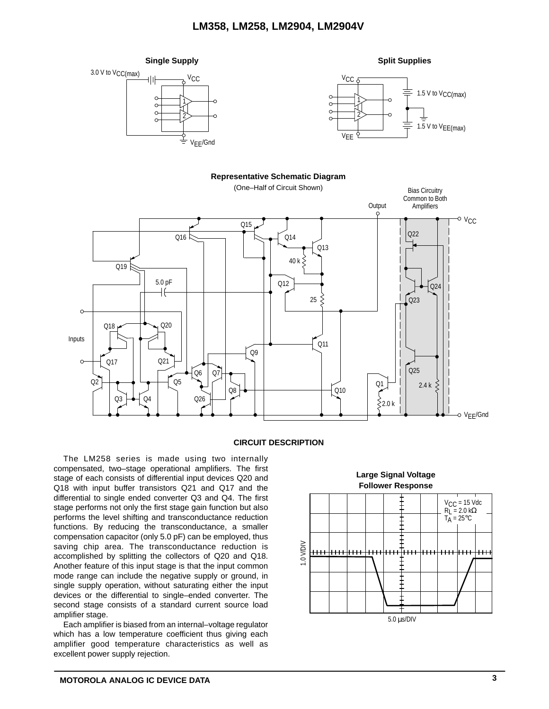

#### **CIRCUIT DESCRIPTION**

The LM258 series is made using two internally compensated, two–stage operational amplifiers. The first stage of each consists of differential input devices Q20 and Q18 with input buffer transistors Q21 and Q17 and the differential to single ended converter Q3 and Q4. The first stage performs not only the first stage gain function but also performs the level shifting and transconductance reduction functions. By reducing the transconductance, a smaller compensation capacitor (only 5.0 pF) can be employed, thus saving chip area. The transconductance reduction is accomplished by splitting the collectors of Q20 and Q18. Another feature of this input stage is that the input common mode range can include the negative supply or ground, in single supply operation, without saturating either the input devices or the differential to single–ended converter. The second stage consists of a standard current source load amplifier stage.

Each amplifier is biased from an internal–voltage regulator which has a low temperature coefficient thus giving each amplifier good temperature characteristics as well as excellent power supply rejection.

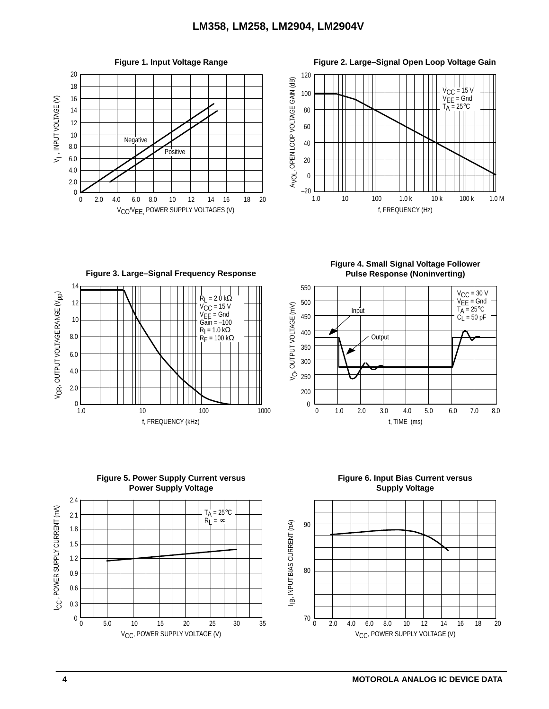





**Figure 4. Small Signal Voltage Follower Pulse Response (Noninverting)**





**Figure 6. Input Bias Current versus Supply Voltage**

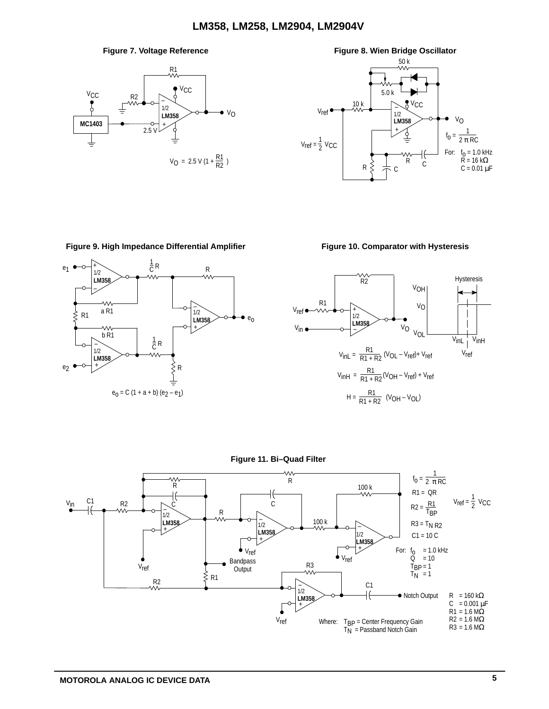



### Figure 9. High Impedance Differential Amplifier Figure 10. Comparator with Hysteresis







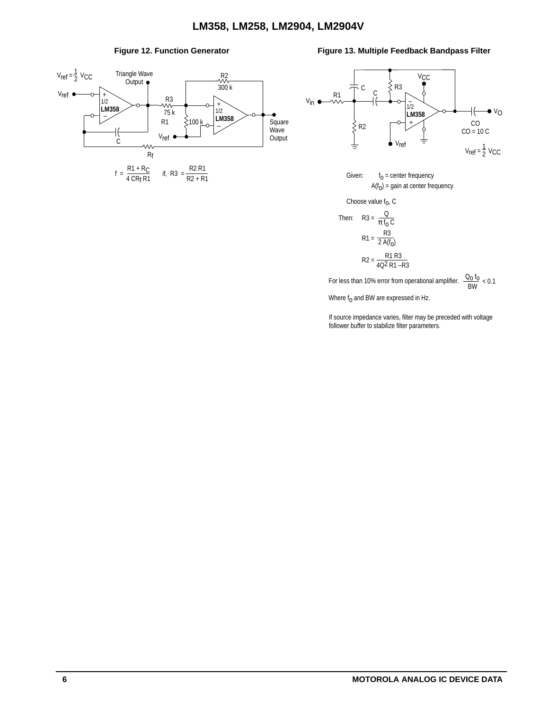

#### Figure 12. Function Generator **Figure 13. Multiple Feedback Bandpass Filter**



Given:  $f_0$  = center frequency  $A(f<sub>O</sub>)$  = gain at center frequency

Choose value  $f_0$ , C

Then: R3 = 
$$
\frac{Q}{\pi f_0 C}
$$

$$
R1 = \frac{R3}{2 A(f_0)}
$$

$$
R2 = \frac{R1 R3}{4Q^2 R1 - R3}
$$

For less than 10% error from operational amplifier.  $\frac{Q_0 f_0}{BW} < 0.1$ Where  $f_0$  and BW are expressed in Hz.

If source impedance varies, filter may be preceded with voltage

follower buffer to stabilize filter parameters.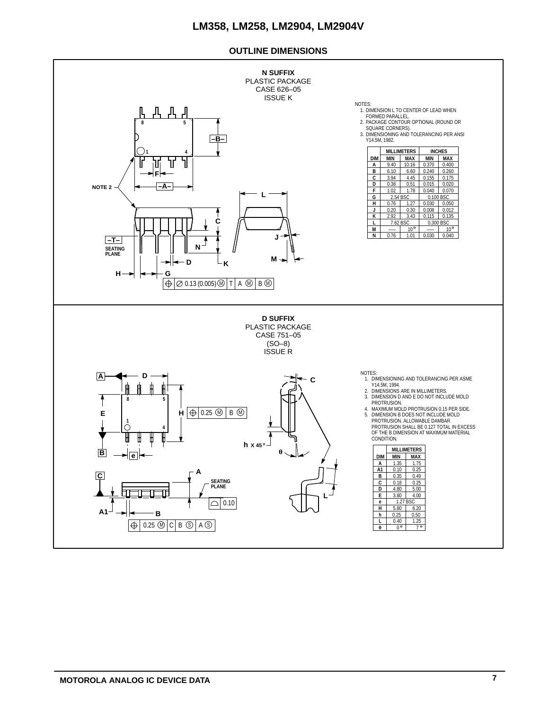#### **OUTLINE DIMENSIONS**